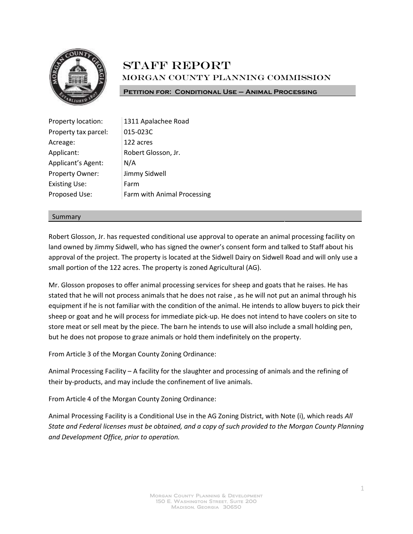

# **STAFF REPORT** Morgan County Planning Commission

**Petition for: Conditional Use – Animal Processing**

| Property location:   | 1311 Apalachee Road         |
|----------------------|-----------------------------|
| Property tax parcel: | 015-023C                    |
| Acreage:             | 122 acres                   |
| Applicant:           | Robert Glosson, Jr.         |
| Applicant's Agent:   | N/A                         |
| Property Owner:      | Jimmy Sidwell               |
| <b>Existing Use:</b> | Farm                        |
| Proposed Use:        | Farm with Animal Processing |
|                      |                             |

#### Summary

Robert Glosson, Jr. has requested conditional use approval to operate an animal processing facility on land owned by Jimmy Sidwell, who has signed the owner's consent form and talked to Staff about his approval of the project. The property is located at the Sidwell Dairy on Sidwell Road and will only use a small portion of the 122 acres. The property is zoned Agricultural (AG).

Mr. Glosson proposes to offer animal processing services for sheep and goats that he raises. He has stated that he will not process animals that he does not raise , as he will not put an animal through his equipment if he is not familiar with the condition of the animal. He intends to allow buyers to pick their sheep or goat and he will process for immediate pick-up. He does not intend to have coolers on site to store meat or sell meat by the piece. The barn he intends to use will also include a small holding pen, but he does not propose to graze animals or hold them indefinitely on the property.

From Article 3 of the Morgan County Zoning Ordinance:

Animal Processing Facility – A facility for the slaughter and processing of animals and the refining of their by-products, and may include the confinement of live animals.

From Article 4 of the Morgan County Zoning Ordinance:

Animal Processing Facility is a Conditional Use in the AG Zoning District, with Note (i), which reads *All State and Federal licenses must be obtained, and a copy of such provided to the Morgan County Planning and Development Office, prior to operation.*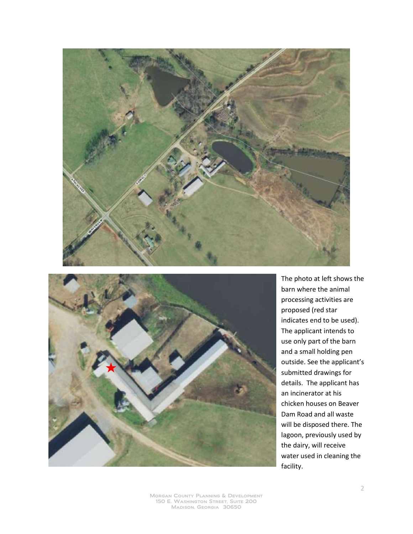



The photo at left shows the barn where the animal processing activities are proposed (red star indicates end to be used). The applicant intends to use only part of the barn and a small holding pen outside. See the applicant's submitted drawings for details. The applicant has an incinerator at his chicken houses on Beaver Dam Road and all waste will be disposed there. The lagoon, previously used by the dairy, will receive water used in cleaning the facility.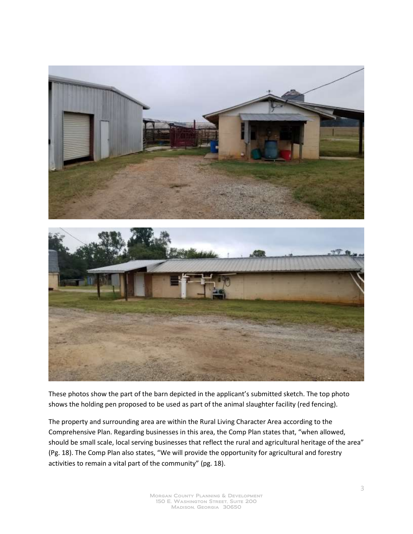

These photos show the part of the barn depicted in the applicant's submitted sketch. The top photo shows the holding pen proposed to be used as part of the animal slaughter facility (red fencing).

The property and surrounding area are within the Rural Living Character Area according to the Comprehensive Plan. Regarding businesses in this area, the Comp Plan states that, "when allowed, should be small scale, local serving businesses that reflect the rural and agricultural heritage of the area" (Pg. 18). The Comp Plan also states, "We will provide the opportunity for agricultural and forestry activities to remain a vital part of the community" (pg. 18).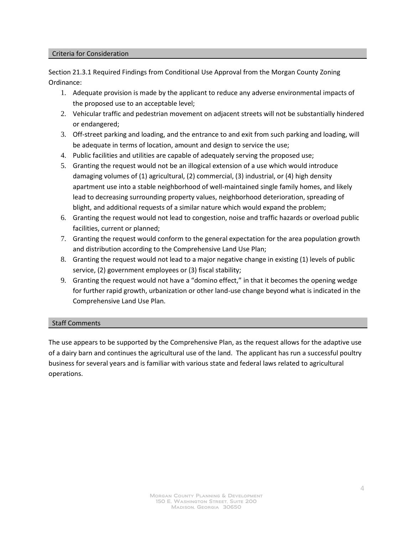#### Criteria for Consideration

Section 21.3.1 Required Findings from Conditional Use Approval from the Morgan County Zoning Ordinance:

- 1. Adequate provision is made by the applicant to reduce any adverse environmental impacts of the proposed use to an acceptable level;
- 2. Vehicular traffic and pedestrian movement on adjacent streets will not be substantially hindered or endangered;
- 3. Off-street parking and loading, and the entrance to and exit from such parking and loading, will be adequate in terms of location, amount and design to service the use;
- 4. Public facilities and utilities are capable of adequately serving the proposed use;
- 5. Granting the request would not be an illogical extension of a use which would introduce damaging volumes of (1) agricultural, (2) commercial, (3) industrial, or (4) high density apartment use into a stable neighborhood of well-maintained single family homes, and likely lead to decreasing surrounding property values, neighborhood deterioration, spreading of blight, and additional requests of a similar nature which would expand the problem;
- 6. Granting the request would not lead to congestion, noise and traffic hazards or overload public facilities, current or planned;
- 7. Granting the request would conform to the general expectation for the area population growth and distribution according to the Comprehensive Land Use Plan;
- 8. Granting the request would not lead to a major negative change in existing (1) levels of public service, (2) government employees or (3) fiscal stability;
- 9. Granting the request would not have a "domino effect," in that it becomes the opening wedge for further rapid growth, urbanization or other land-use change beyond what is indicated in the Comprehensive Land Use Plan.

#### Staff Comments

The use appears to be supported by the Comprehensive Plan, as the request allows for the adaptive use of a dairy barn and continues the agricultural use of the land. The applicant has run a successful poultry business for several years and is familiar with various state and federal laws related to agricultural operations.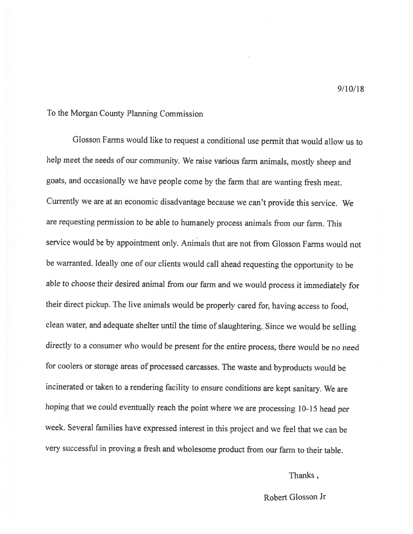## To the Morgan County Planning Commission

Glosson Farms would like to request a conditional use permit that would allow us to help meet the needs of our community. We raise various farm animals, mostly sheep and goats, and occasionally we have people come by the farm that are wanting fresh meat. Currently we are at an economic disadvantage because we can't provide this service. We are requesting permission to be able to humanely process animals from our farm. This service would be by appointment only. Animals that are not from Glosson Farms would not be warranted. Ideally one of our clients would call ahead requesting the opportunity to be able to choose their desired animal from our farm and we would process it immediately for their direct pickup. The live animals would be properly cared for, having access to food, clean water, and adequate shelter until the time of slaughtering. Since we would be selling directly to a consumer who would be present for the entire process, there would be no need for coolers or storage areas of processed carcasses. The waste and byproducts would be incinerated or taken to a rendering facility to ensure conditions are kept sanitary. We are hoping that we could eventually reach the point where we are processing 10-15 head per week. Several families have expressed interest in this project and we feel that we can be very successful in proving a fresh and wholesome product from our farm to their table.

### Thanks,

Robert Glosson Jr